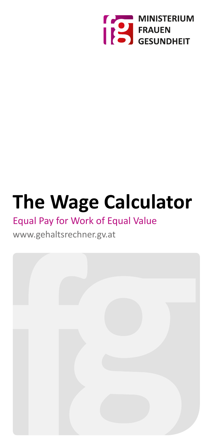

# **The Wage Calculator**

### Equal Pay for Work of Equal Value

### www.gehaltsrechner.gv.at

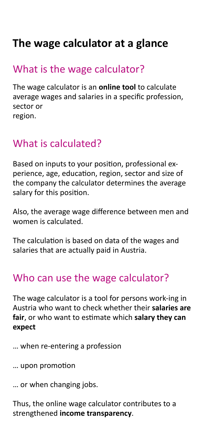# **The wage calculator at a glance**

### What is the wage calculator?

The wage calculator is an **online tool** to calculate average wages and salaries in a specific profession, sector or region.

# What is calculated?

Based on inputs to your position, professional experience, age, education, region, sector and size of the company the calculator determines the average salary for this position.

Also, the average wage difference between men and women is calculated.

The calculation is based on data of the wages and salaries that are actually paid in Austria.

### Who can use the wage calculator?

The wage calculator is a tool for persons work-ing in Austria who want to check whether their **salaries are fair**, or who want to estimate which **salary they can expect**

- … when re-entering a profession
- … upon promotion
- … or when changing jobs.

Thus, the online wage calculator contributes to a strengthened **income transparency**.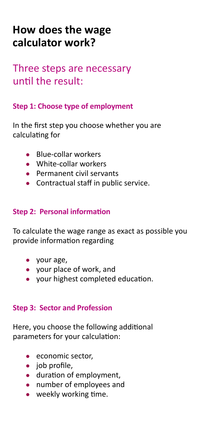# **How does the wage calculator work?**

### Three steps are necessary until the result:

#### **Step 1: Choose type of employment**

In the first step you choose whether you are calculating for

- Blue-collar workers
- White-collar workers
- Permanent civil servants
- Contractual staff in public service.

#### **Step 2: Personal information**

To calculate the wage range as exact as possible you provide information regarding

- your age,
- your place of work, and
- your highest completed education.

#### **Step 3: Sector and Profession**

Here, you choose the following additional parameters for your calculation:

- economic sector.
- job profile,
- duration of employment,
- number of employees and
- weekly working time.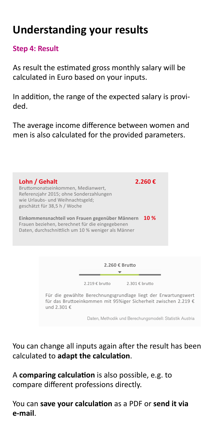# **Understanding your results**

**Step 4: Result**

As result the estimated gross monthly salary will be calculated in Euro based on your inputs.

In addition, the range of the expected salary is provided.

The average income difference between women and men is also calculated for the provided parameters.

**Lohn / Gehalt 2.260 €** Bruttomonatseinkommen, Medianwert, Referenzjahr 2015; ohne Sonderzahlungen wie Urlaubs- und Weihnachtsgeld; geschätzt für 38,5 h / Woche **Einkommensnachteil von Frauen gegenüber Männern 10 %** Frauen beziehen, berechnet für die eingegebenen Daten, durchschnittlich um 10 % weniger als Männer **2.260 € Brutto**  $\overline{\mathbf v}$ 2.219 € brutto 2.301 € brutto Für die gewählte Berechnungsgrundlage liegt der Erwartungswert für das Bruttoeinkommen mit 95%iger Sicherheit zwischen 2.219 € und 2.301 € Daten, Methodik und Berechungsmodell: Statistik Austria

You can change all inputs again after the result has been calculated to **adapt the calculation**.

A **comparing calculation** is also possible, e.g. to compare different professions directly.

You can **save your calculation** as a PDF or **send it via e-mail**.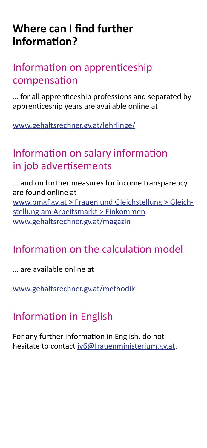# **Where can I find further information?**

### Information on apprenticeship compensation

… for all apprenticeship professions and separated by apprenticeship years are available online at

[www.gehaltsrechner.gv.at/lehrlinge/](https://www.gehaltsrechner.gv.at/lehrlinge/ )

### Information on salary information in job advertisements

… and on further measures for income transparency are found online at [www.bmgf.gv.at > Frauen und Gleichstellung > Gleich](http://www.bmgf.gv.at/home/Frauen_Gleichstellung/Gleichstellung_am_Arbeitsmarkt/)[stellung am Arbeitsmarkt > Einkommen](http://www.bmgf.gv.at/home/Frauen_Gleichstellung/Gleichstellung_am_Arbeitsmarkt/) [www.gehaltsrechner.gv.at/magazin](http://www.gehaltsrechner.gv.at/magazin )

# Information on the calculation model

… are available online at

[www.gehaltsrechner.gv.at/methodik](http://www.gehaltsrechner.gv.at/methodik )

# Information in English

For any further information in English, do not hesitate to contact [iv6@frauenministerium.gv.at](mailto:iv6@frauenministerium.gv.at).